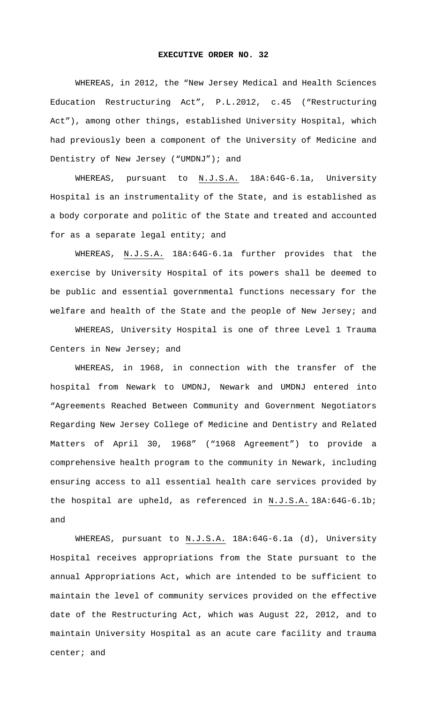## **EXECUTIVE ORDER NO. 32**

WHEREAS, in 2012, the "New Jersey Medical and Health Sciences Education Restructuring Act", P.L.2012, c.45 ("Restructuring Act"), among other things, established University Hospital, which had previously been a component of the University of Medicine and Dentistry of New Jersey ("UMDNJ"); and

WHEREAS, pursuant to N.J.S.A. 18A:64G-6.1a, University Hospital is an instrumentality of the State, and is established as a body corporate and politic of the State and treated and accounted for as a separate legal entity; and

WHEREAS, N.J.S.A. 18A:64G-6.1a further provides that the exercise by University Hospital of its powers shall be deemed to be public and essential governmental functions necessary for the welfare and health of the State and the people of New Jersey; and

WHEREAS, University Hospital is one of three Level 1 Trauma Centers in New Jersey; and

WHEREAS, in 1968, in connection with the transfer of the hospital from Newark to UMDNJ, Newark and UMDNJ entered into "Agreements Reached Between Community and Government Negotiators Regarding New Jersey College of Medicine and Dentistry and Related Matters of April 30, 1968" ("1968 Agreement") to provide a comprehensive health program to the community in Newark, including ensuring access to all essential health care services provided by the hospital are upheld, as referenced in N.J.S.A. 18A:64G-6.1b; and

WHEREAS, pursuant to N.J.S.A. 18A:64G-6.1a (d), University Hospital receives appropriations from the State pursuant to the annual Appropriations Act, which are intended to be sufficient to maintain the level of community services provided on the effective date of the Restructuring Act, which was August 22, 2012, and to maintain University Hospital as an acute care facility and trauma center; and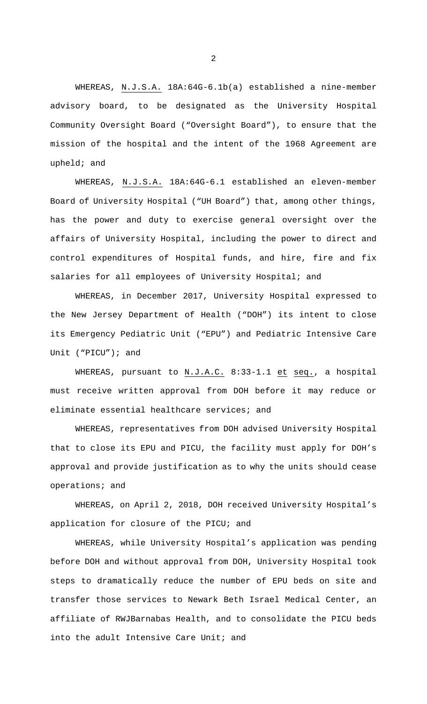WHEREAS, N.J.S.A. 18A:64G-6.1b(a) established a nine-member advisory board, to be designated as the University Hospital Community Oversight Board ("Oversight Board"), to ensure that the mission of the hospital and the intent of the 1968 Agreement are upheld; and

WHEREAS, N.J.S.A. 18A:64G-6.1 established an eleven-member Board of University Hospital ("UH Board") that, among other things, has the power and duty to exercise general oversight over the affairs of University Hospital, including the power to direct and control expenditures of Hospital funds, and hire, fire and fix salaries for all employees of University Hospital; and

WHEREAS, in December 2017, University Hospital expressed to the New Jersey Department of Health ("DOH") its intent to close its Emergency Pediatric Unit ("EPU") and Pediatric Intensive Care Unit ("PICU"); and

WHEREAS, pursuant to N.J.A.C. 8:33-1.1 et seq., a hospital must receive written approval from DOH before it may reduce or eliminate essential healthcare services; and

WHEREAS, representatives from DOH advised University Hospital that to close its EPU and PICU, the facility must apply for DOH's approval and provide justification as to why the units should cease operations; and

WHEREAS, on April 2, 2018, DOH received University Hospital's application for closure of the PICU; and

WHEREAS, while University Hospital's application was pending before DOH and without approval from DOH, University Hospital took steps to dramatically reduce the number of EPU beds on site and transfer those services to Newark Beth Israel Medical Center, an affiliate of RWJBarnabas Health, and to consolidate the PICU beds into the adult Intensive Care Unit; and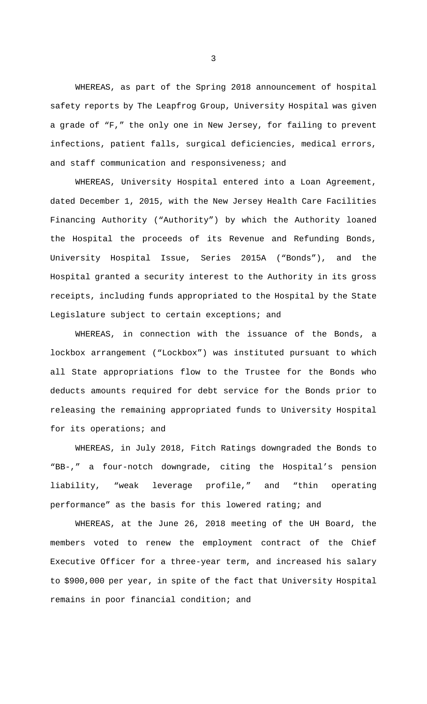WHEREAS, as part of the Spring 2018 announcement of hospital safety reports by The Leapfrog Group, University Hospital was given a grade of "F," the only one in New Jersey, for failing to prevent infections, patient falls, surgical deficiencies, medical errors, and staff communication and responsiveness; and

WHEREAS, University Hospital entered into a Loan Agreement, dated December 1, 2015, with the New Jersey Health Care Facilities Financing Authority ("Authority") by which the Authority loaned the Hospital the proceeds of its Revenue and Refunding Bonds, University Hospital Issue, Series 2015A ("Bonds"), and the Hospital granted a security interest to the Authority in its gross receipts, including funds appropriated to the Hospital by the State Legislature subject to certain exceptions; and

WHEREAS, in connection with the issuance of the Bonds, a lockbox arrangement ("Lockbox") was instituted pursuant to which all State appropriations flow to the Trustee for the Bonds who deducts amounts required for debt service for the Bonds prior to releasing the remaining appropriated funds to University Hospital for its operations; and

WHEREAS, in July 2018, Fitch Ratings downgraded the Bonds to "BB-," a four-notch downgrade, citing the Hospital's pension liability, "weak leverage profile," and "thin operating performance" as the basis for this lowered rating; and

WHEREAS, at the June 26, 2018 meeting of the UH Board, the members voted to renew the employment contract of the Chief Executive Officer for a three-year term, and increased his salary to \$900,000 per year, in spite of the fact that University Hospital remains in poor financial condition; and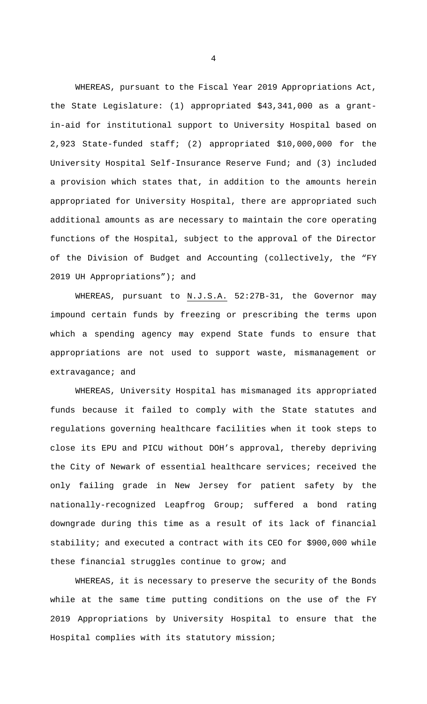WHEREAS, pursuant to the Fiscal Year 2019 Appropriations Act, the State Legislature: (1) appropriated \$43,341,000 as a grantin-aid for institutional support to University Hospital based on 2,923 State-funded staff; (2) appropriated \$10,000,000 for the University Hospital Self-Insurance Reserve Fund; and (3) included a provision which states that, in addition to the amounts herein appropriated for University Hospital, there are appropriated such additional amounts as are necessary to maintain the core operating functions of the Hospital, subject to the approval of the Director of the Division of Budget and Accounting (collectively, the "FY 2019 UH Appropriations"); and

WHEREAS, pursuant to N.J.S.A. 52:27B-31, the Governor may impound certain funds by freezing or prescribing the terms upon which a spending agency may expend State funds to ensure that appropriations are not used to support waste, mismanagement or extravagance; and

WHEREAS, University Hospital has mismanaged its appropriated funds because it failed to comply with the State statutes and regulations governing healthcare facilities when it took steps to close its EPU and PICU without DOH's approval, thereby depriving the City of Newark of essential healthcare services; received the only failing grade in New Jersey for patient safety by the nationally-recognized Leapfrog Group; suffered a bond rating downgrade during this time as a result of its lack of financial stability; and executed a contract with its CEO for \$900,000 while these financial struggles continue to grow; and

WHEREAS, it is necessary to preserve the security of the Bonds while at the same time putting conditions on the use of the FY 2019 Appropriations by University Hospital to ensure that the Hospital complies with its statutory mission;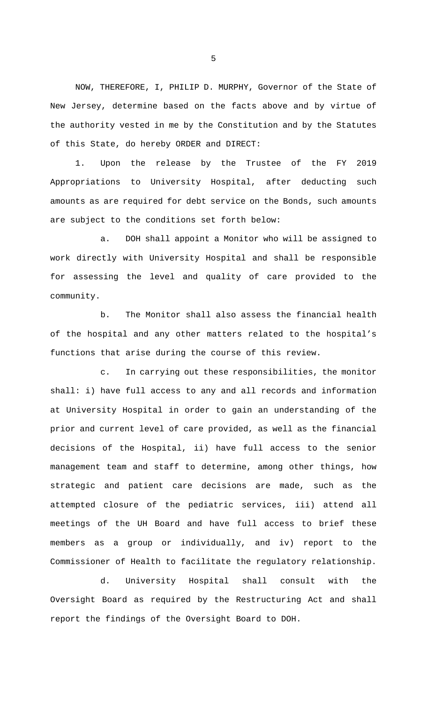NOW, THEREFORE, I, PHILIP D. MURPHY, Governor of the State of New Jersey, determine based on the facts above and by virtue of the authority vested in me by the Constitution and by the Statutes of this State, do hereby ORDER and DIRECT:

1. Upon the release by the Trustee of the FY 2019 Appropriations to University Hospital, after deducting such amounts as are required for debt service on the Bonds, such amounts are subject to the conditions set forth below:

a. DOH shall appoint a Monitor who will be assigned to work directly with University Hospital and shall be responsible for assessing the level and quality of care provided to the community.

b. The Monitor shall also assess the financial health of the hospital and any other matters related to the hospital's functions that arise during the course of this review.

c. In carrying out these responsibilities, the monitor shall: i) have full access to any and all records and information at University Hospital in order to gain an understanding of the prior and current level of care provided, as well as the financial decisions of the Hospital, ii) have full access to the senior management team and staff to determine, among other things, how strategic and patient care decisions are made, such as the attempted closure of the pediatric services, iii) attend all meetings of the UH Board and have full access to brief these members as a group or individually, and iv) report to the Commissioner of Health to facilitate the regulatory relationship.

d. University Hospital shall consult with the Oversight Board as required by the Restructuring Act and shall report the findings of the Oversight Board to DOH.